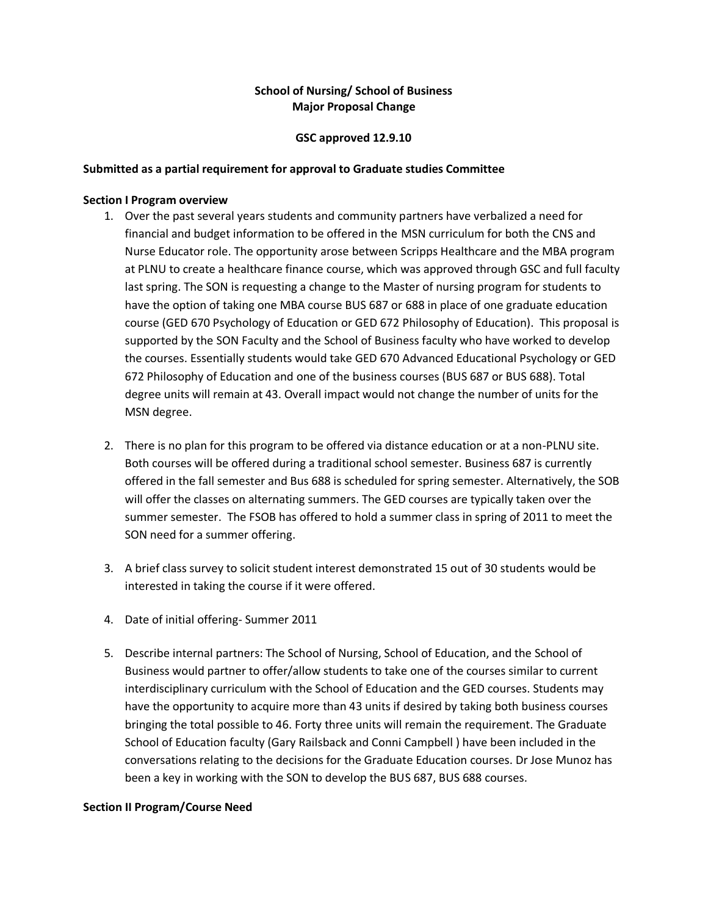### **School of Nursing/ School of Business Major Proposal Change**

#### **GSC approved 12.9.10**

#### **Submitted as a partial requirement for approval to Graduate studies Committee**

#### **Section I Program overview**

- 1. Over the past several years students and community partners have verbalized a need for financial and budget information to be offered in the MSN curriculum for both the CNS and Nurse Educator role. The opportunity arose between Scripps Healthcare and the MBA program at PLNU to create a healthcare finance course, which was approved through GSC and full faculty last spring. The SON is requesting a change to the Master of nursing program for students to have the option of taking one MBA course BUS 687 or 688 in place of one graduate education course (GED 670 Psychology of Education or GED 672 Philosophy of Education). This proposal is supported by the SON Faculty and the School of Business faculty who have worked to develop the courses. Essentially students would take GED 670 Advanced Educational Psychology or GED 672 Philosophy of Education and one of the business courses (BUS 687 or BUS 688). Total degree units will remain at 43. Overall impact would not change the number of units for the MSN degree.
- 2. There is no plan for this program to be offered via distance education or at a non-PLNU site. Both courses will be offered during a traditional school semester. Business 687 is currently offered in the fall semester and Bus 688 is scheduled for spring semester. Alternatively, the SOB will offer the classes on alternating summers. The GED courses are typically taken over the summer semester. The FSOB has offered to hold a summer class in spring of 2011 to meet the SON need for a summer offering.
- 3. A brief class survey to solicit student interest demonstrated 15 out of 30 students would be interested in taking the course if it were offered.
- 4. Date of initial offering- Summer 2011
- 5. Describe internal partners: The School of Nursing, School of Education, and the School of Business would partner to offer/allow students to take one of the courses similar to current interdisciplinary curriculum with the School of Education and the GED courses. Students may have the opportunity to acquire more than 43 units if desired by taking both business courses bringing the total possible to 46. Forty three units will remain the requirement. The Graduate School of Education faculty (Gary Railsback and Conni Campbell ) have been included in the conversations relating to the decisions for the Graduate Education courses. Dr Jose Munoz has been a key in working with the SON to develop the BUS 687, BUS 688 courses.

#### **Section II Program/Course Need**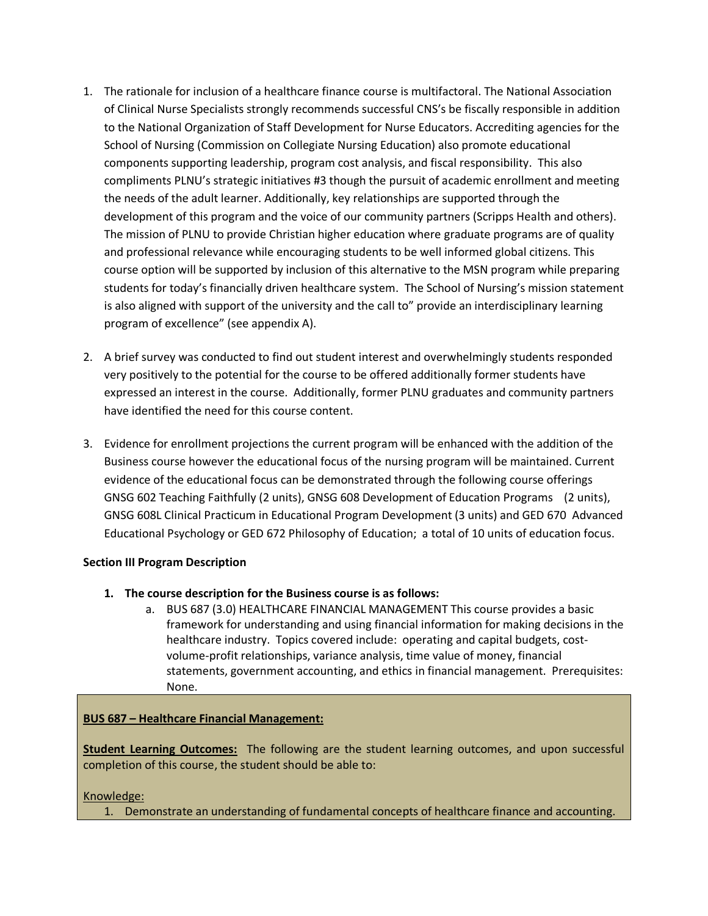- 1. The rationale for inclusion of a healthcare finance course is multifactoral. The National Association of Clinical Nurse Specialists strongly recommends successful CNS's be fiscally responsible in addition to the National Organization of Staff Development for Nurse Educators. Accrediting agencies for the School of Nursing (Commission on Collegiate Nursing Education) also promote educational components supporting leadership, program cost analysis, and fiscal responsibility. This also compliments PLNU's strategic initiatives #3 though the pursuit of academic enrollment and meeting the needs of the adult learner. Additionally, key relationships are supported through the development of this program and the voice of our community partners (Scripps Health and others). The mission of PLNU to provide Christian higher education where graduate programs are of quality and professional relevance while encouraging students to be well informed global citizens. This course option will be supported by inclusion of this alternative to the MSN program while preparing students for today's financially driven healthcare system. The School of Nursing's mission statement is also aligned with support of the university and the call to" provide an interdisciplinary learning program of excellence" (see appendix A).
- 2. A brief survey was conducted to find out student interest and overwhelmingly students responded very positively to the potential for the course to be offered additionally former students have expressed an interest in the course. Additionally, former PLNU graduates and community partners have identified the need for this course content.
- 3. Evidence for enrollment projections the current program will be enhanced with the addition of the Business course however the educational focus of the nursing program will be maintained. Current evidence of the educational focus can be demonstrated through the following course offerings GNSG 602 Teaching Faithfully (2 units), GNSG 608 Development of Education Programs (2 units), GNSG 608L Clinical Practicum in Educational Program Development (3 units) and GED 670 Advanced Educational Psychology or GED 672 Philosophy of Education; a total of 10 units of education focus.

### **Section III Program Description**

- **1. The course description for the Business course is as follows:**
	- a. BUS 687 (3.0) HEALTHCARE FINANCIAL MANAGEMENT This course provides a basic framework for understanding and using financial information for making decisions in the healthcare industry. Topics covered include: operating and capital budgets, costvolume-profit relationships, variance analysis, time value of money, financial statements, government accounting, and ethics in financial management. Prerequisites: None.

# **BUS 687 – Healthcare Financial Management:**

**Student Learning Outcomes:** The following are the student learning outcomes, and upon successful completion of this course, the student should be able to:

# Knowledge:

1. Demonstrate an understanding of fundamental concepts of healthcare finance and accounting.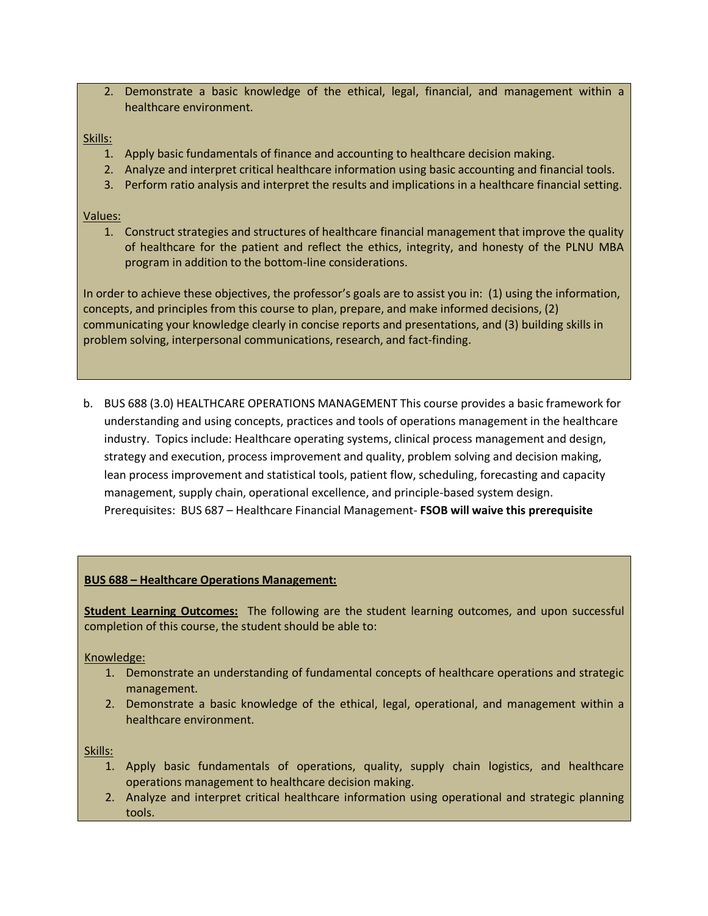2. Demonstrate a basic knowledge of the ethical, legal, financial, and management within a healthcare environment.

#### Skills:

- 1. Apply basic fundamentals of finance and accounting to healthcare decision making.
- 2. Analyze and interpret critical healthcare information using basic accounting and financial tools.
- 3. Perform ratio analysis and interpret the results and implications in a healthcare financial setting.

#### Values:

1. Construct strategies and structures of healthcare financial management that improve the quality of healthcare for the patient and reflect the ethics, integrity, and honesty of the PLNU MBA program in addition to the bottom-line considerations.

In order to achieve these objectives, the professor's goals are to assist you in: (1) using the information, concepts, and principles from this course to plan, prepare, and make informed decisions, (2) communicating your knowledge clearly in concise reports and presentations, and (3) building skills in problem solving, interpersonal communications, research, and fact-finding.

b. BUS 688 (3.0) HEALTHCARE OPERATIONS MANAGEMENT This course provides a basic framework for understanding and using concepts, practices and tools of operations management in the healthcare industry. Topics include: Healthcare operating systems, clinical process management and design, strategy and execution, process improvement and quality, problem solving and decision making, lean process improvement and statistical tools, patient flow, scheduling, forecasting and capacity management, supply chain, operational excellence, and principle-based system design. Prerequisites: BUS 687 – Healthcare Financial Management- **FSOB will waive this prerequisite**

### **BUS 688 – Healthcare Operations Management:**

**Student Learning Outcomes:** The following are the student learning outcomes, and upon successful completion of this course, the student should be able to:

Knowledge:

- 1. Demonstrate an understanding of fundamental concepts of healthcare operations and strategic management.
- 2. Demonstrate a basic knowledge of the ethical, legal, operational, and management within a healthcare environment.

Skills:

- 1. Apply basic fundamentals of operations, quality, supply chain logistics, and healthcare operations management to healthcare decision making.
- 2. Analyze and interpret critical healthcare information using operational and strategic planning tools.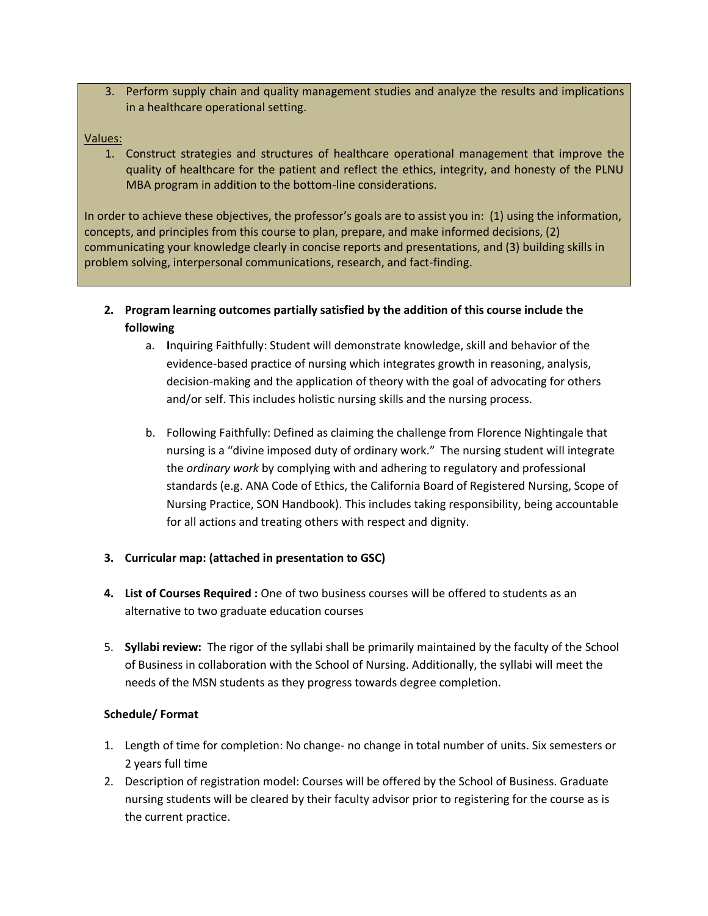3. Perform supply chain and quality management studies and analyze the results and implications in a healthcare operational setting.

### Values:

1. Construct strategies and structures of healthcare operational management that improve the quality of healthcare for the patient and reflect the ethics, integrity, and honesty of the PLNU MBA program in addition to the bottom-line considerations.

In order to achieve these objectives, the professor's goals are to assist you in: (1) using the information, concepts, and principles from this course to plan, prepare, and make informed decisions, (2) communicating your knowledge clearly in concise reports and presentations, and (3) building skills in problem solving, interpersonal communications, research, and fact-finding.

- **2. Program learning outcomes partially satisfied by the addition of this course include the following** 
	- a. **I**nquiring Faithfully: Student will demonstrate knowledge, skill and behavior of the evidence-based practice of nursing which integrates growth in reasoning, analysis, decision-making and the application of theory with the goal of advocating for others and/or self. This includes holistic nursing skills and the nursing process.
	- b. Following Faithfully: Defined as claiming the challenge from Florence Nightingale that nursing is a "divine imposed duty of ordinary work." The nursing student will integrate the *ordinary work* by complying with and adhering to regulatory and professional standards (e.g. ANA Code of Ethics, the California Board of Registered Nursing, Scope of Nursing Practice, SON Handbook). This includes taking responsibility, being accountable for all actions and treating others with respect and dignity.

# **3. Curricular map: (attached in presentation to GSC)**

- **4. List of Courses Required :** One of two business courses will be offered to students as an alternative to two graduate education courses
- 5. **Syllabi review:** The rigor of the syllabi shall be primarily maintained by the faculty of the School of Business in collaboration with the School of Nursing. Additionally, the syllabi will meet the needs of the MSN students as they progress towards degree completion.

### **Schedule/ Format**

- 1. Length of time for completion: No change- no change in total number of units. Six semesters or 2 years full time
- 2. Description of registration model: Courses will be offered by the School of Business. Graduate nursing students will be cleared by their faculty advisor prior to registering for the course as is the current practice.